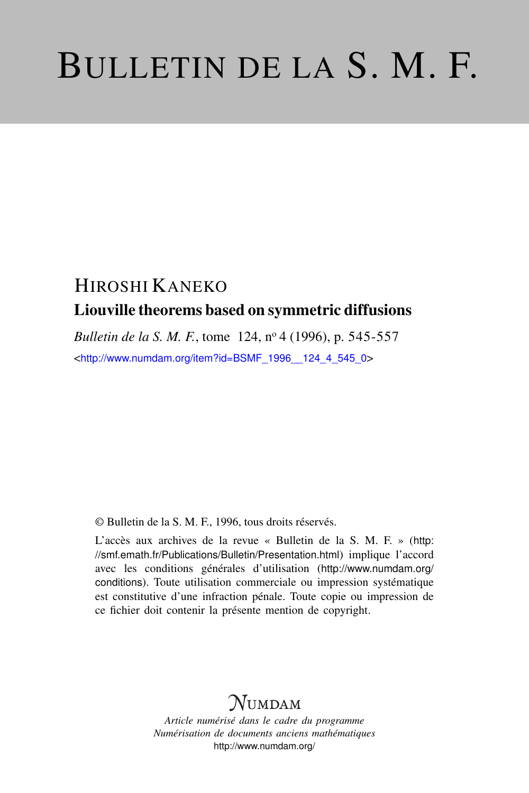# BULLETIN DE LA S. M. F.

# HIROSHI KANEKO Liouville theorems based on symmetric diffusions

*Bulletin de la S. M. F.*, tome 124, nº 4 (1996), p. 545-557 <[http://www.numdam.org/item?id=BSMF\\_1996\\_\\_124\\_4\\_545\\_0](http://www.numdam.org/item?id=BSMF_1996__124_4_545_0)>

© Bulletin de la S. M. F., 1996, tous droits réservés.

L'accès aux archives de la revue « Bulletin de la S. M. F. » ([http:](http://smf.emath.fr/Publications/Bulletin/Presentation.html) [//smf.emath.fr/Publications/Bulletin/Presentation.html](http://smf.emath.fr/Publications/Bulletin/Presentation.html)) implique l'accord avec les conditions générales d'utilisation ([http://www.numdam.org/](http://www.numdam.org/conditions) [conditions](http://www.numdam.org/conditions)). Toute utilisation commerciale ou impression systématique est constitutive d'une infraction pénale. Toute copie ou impression de ce fichier doit contenir la présente mention de copyright.

# **NUMDAM**

*Article numérisé dans le cadre du programme Numérisation de documents anciens mathématiques* <http://www.numdam.org/>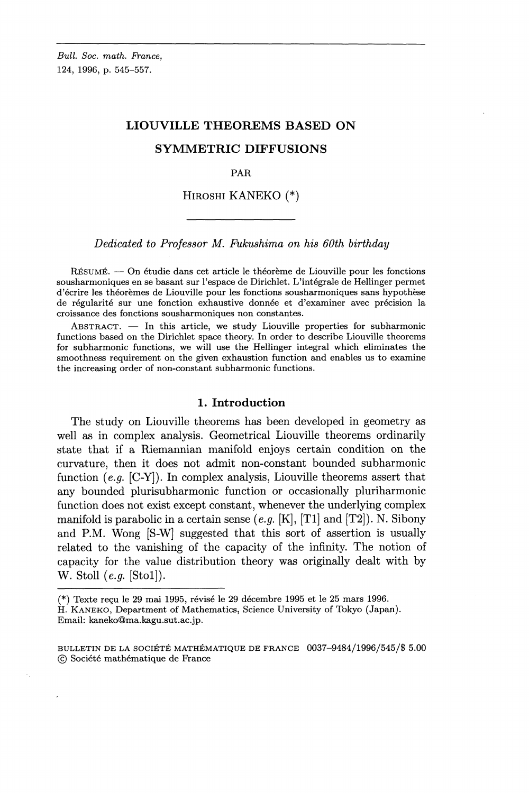#### **LIOUVILLE THEOREMS BASED ON**

## **SYMMETRIC DIFFUSIONS**

PAR

HIROSHI KANEKO (\*)

*Dedicated to Professor M. Fukushima on his 60th birthday*

RESUME. — On etudie dans cet article Ie theoreme de Liouville pour les fonctions sousharmoniques en se basant sur 1'espace de Dirichlet. L'integrale de Hellinger permet d'écrire les théorèmes de Liouville pour les fonctions sousharmoniques sans hypothèse de regularite sur une fonction exhaustive donnee et d'examiner avec precision la croissance des fonctions sousharmoniques non constantes.

ABSTRACT. — In this article, we study Liouville properties for subharmonic functions based on the Dirichlet space theory. In order to describe Liouville theorems for subharmonic functions, we will use the Hellinger integral which eliminates the smoothness requirement on the given exhaustion function and enables us to examine the increasing order of non-constant subharmonic functions.

#### **1. Introduction**

The study on Liouville theorems has been developed in geometry as well as in complex analysis. Geometrical Liouville theorems ordinarily state that if a Riemannian manifold enjoys certain condition on the curvature, then it does not admit non-constant bounded subharmonic function *{e.g.* [C-Y]). In complex analysis, Liouville theorems assert that any bounded plurisubharmonic function or occasionally pluriharmonic function does not exist except constant, whenever the underlying complex manifold is parabolic in a certain sense  $(e.g. [K], [T1]$  and  $[T2]$ ). N. Sibony and P.M. Wong [S-W] suggested that this sort of assertion is usually related to the vanishing of the capacity of the infinity. The notion of capacity for the value distribution theory was originally dealt with by W. Stoll *{e.g.* [Stol]).

<sup>(\*)</sup> Texte recu Ie 29 mai 1995, revise Ie 29 decembre 1995 et Ie 25 mars 1996.

H. KANEKO, Department of Mathematics, Science University of Tokyo (Japan). Email: kaneko@ma.kagu.sut.ac.jp.

BULLETIN DE LA SOCIETE MATHEMATIQUE DE FRANCE 0037-9484/1996/545/\$ 5.00 © Societe mathematique de France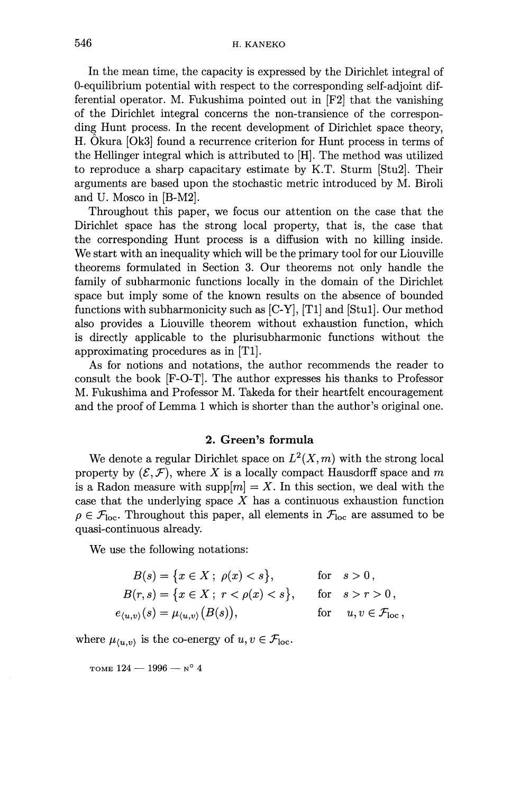In the mean time, the capacity is expressed by the Dirichlet integral of 0-equilibrium potential with respect to the corresponding self-adjoint differential operator. M. Fukushima pointed out in [F2] that the vanishing of the Dirichlet integral concerns the non-transience of the corresponding Hunt process. In the recent development of Dirichlet space theory, H. Okura [Ok3] found a recurrence criterion for Hunt process in terms of the Hellinger integral which is attributed to [H]. The method was utilized to reproduce a sharp capacitary estimate by K.T. Sturm [Stu2]. Their arguments are based upon the stochastic metric introduced by M. Biroli and U. Mosco in [B-M2].

Throughout this paper, we focus our attention on the case that the Dirichlet space has the strong local property, that is, the case that the corresponding Hunt process is a diffusion with no killing inside. We start with an inequality which will be the primary tool for our Liouville theorems formulated in Section 3. Our theorems not only handle the family of subharmonic functions locally in the domain of the Dirichlet space but imply some of the known results on the absence of bounded functions with subharmonicity such as  $[C-Y]$ , [T1] and [Stu1]. Our method also provides a Liouville theorem without exhaustion function, which is directly applicable to the plurisubharmonic functions without the approximating procedures as in [Tl].

As for notions and notations, the author recommends the reader to consult the book [F-O-T]. The author expresses his thanks to Professor M. Fukushima and Professor M. Takeda for their heartfelt encouragement and the proof of Lemma 1 which is shorter than the author's original one.

## **2. Green's formula**

We denote a regular Dirichlet space on  $L^2(X, m)$  with the strong local property by  $(\mathcal{E},\mathcal{F})$ , where X is a locally compact Hausdorff space and m is a Radon measure with  $\text{supp}[m] = X$ . In this section, we deal with the case that the underlying space *X* has a continuous exhaustion function  $\rho \in \mathcal{F}_{\text{loc}}$ . Throughout this paper, all elements in  $\mathcal{F}_{\text{loc}}$  are assumed to be quasi-continuous already.

We use the following notations:

$$
B(s) = \{x \in X; \ \rho(x) < s\}, \quad \text{for} \quad s > 0,
$$
\n
$$
B(r, s) = \{x \in X; \ r < \rho(x) < s\}, \quad \text{for} \quad s > r > 0,
$$
\n
$$
e_{\langle u, v \rangle}(s) = \mu_{\langle u, v \rangle}(B(s)), \quad \text{for} \quad u, v \in \mathcal{F}_{\text{loc}},
$$

where  $\mu_{\langle u,v \rangle}$  is the co-energy of  $u, v \in \mathcal{F}_{loc}$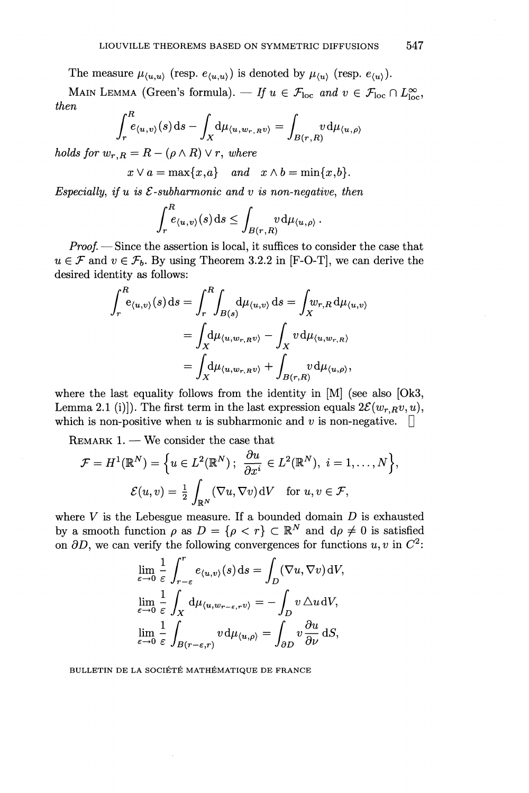The measure  $\mu_{\langle u,u\rangle}$  (resp.  $e_{\langle u,u\rangle}$ ) is denoted by  $\mu_{\langle u\rangle}$  (resp.  $e_{\langle u\rangle}$ ).

MAIN LEMMA (Green's formula). — If  $u \in \mathcal{F}_{loc}$  and  $v \in \mathcal{F}_{loc} \cap L_{loc}^{\infty}$  $then$ 

$$
\int_r^R e_{\langle u,v\rangle}(s) ds - \int_X \mathrm{d}\mu_{\langle u,w_r, \,Rv\rangle} = \int_{B(r,R)} v \, \mathrm{d}\mu_{\langle u,\rho\rangle}
$$

*holds for*  $w_{r}$   $_{R} = R - (\rho \wedge R) \vee r$ , where

$$
x \vee a = \max\{x, a\} \quad and \quad x \wedge b = \min\{x, b\}.
$$

*Especially, if u is*  $\mathcal{E}$ *-subharmonic and v is non-negative, then* 

$$
\int_r^R e_{\langle u,v\rangle}(s) ds \leq \int_{B(r,R)} v d\mu_{\langle u,\rho\rangle} .
$$

*Proof. —* Since the assertion is local, it suffices to consider the case that  $u \in \mathcal{F}$  and  $v \in \mathcal{F}_b$ . By using Theorem 3.2.2 in [F-O-T], we can derive the desired identity as follows:

$$
\int_r^R e_{\langle u,v\rangle}(s) ds = \int_r^R \int_{B(s)} d\mu_{\langle u,v\rangle} ds = \int_X w_{r,R} d\mu_{\langle u,v\rangle}
$$

$$
= \int_X d\mu_{\langle u, w_{r,R}v\rangle} - \int_X v d\mu_{\langle u, w_{r,R}\rangle}
$$

$$
= \int_X d\mu_{\langle u, w_{r,R}v\rangle} + \int_{B(r,R)} v d\mu_{\langle u,\rho\rangle},
$$

where the last equality follows from the identity in [M] (see also [Ok3, Lemma 2.1 (i)]). The first term in the last expression equals  $2\mathcal{E}(w_{r,R}v, u)$ , which is non-positive when *u* is subharmonic and *v* is non-negative.  $\Box$ 

REMARK 1. — We consider the case that  
\n
$$
\mathcal{F} = H^1(\mathbb{R}^N) = \left\{ u \in L^2(\mathbb{R}^N) \, ; \, \frac{\partial u}{\partial x^i} \in L^2(\mathbb{R}^N), \, i = 1, ..., N \right\},
$$
\n
$$
\mathcal{E}(u, v) = \frac{1}{2} \int_{\mathbb{R}^N} (\nabla u, \nabla v) dV \quad \text{for } u, v \in \mathcal{F},
$$

where *V* is the Lebesgue measure. If a bounded domain *D* is exhausted by a smooth function  $\rho$  as  $D = \{\rho < r\} \subset \mathbb{R}^N$  and  $d\rho \neq 0$  is satisfied on  $\partial D$ , we can verify the following convergences for functions  $u, v$  in  $C^2$ .

$$
\lim_{\varepsilon \to 0} \frac{1}{\varepsilon} \int_{r-\varepsilon}^r e_{\langle u, v \rangle}(s) ds = \int_D (\nabla u, \nabla v) dV,
$$
  
\n
$$
\lim_{\varepsilon \to 0} \frac{1}{\varepsilon} \int_X d\mu_{\langle u, w_{r-\varepsilon}, r v \rangle} = - \int_D v \Delta u dV,
$$
  
\n
$$
\lim_{\varepsilon \to 0} \frac{1}{\varepsilon} \int_{B(r-\varepsilon, r)} v d\mu_{\langle u, \rho \rangle} = \int_{\partial D} v \frac{\partial u}{\partial \nu} dS,
$$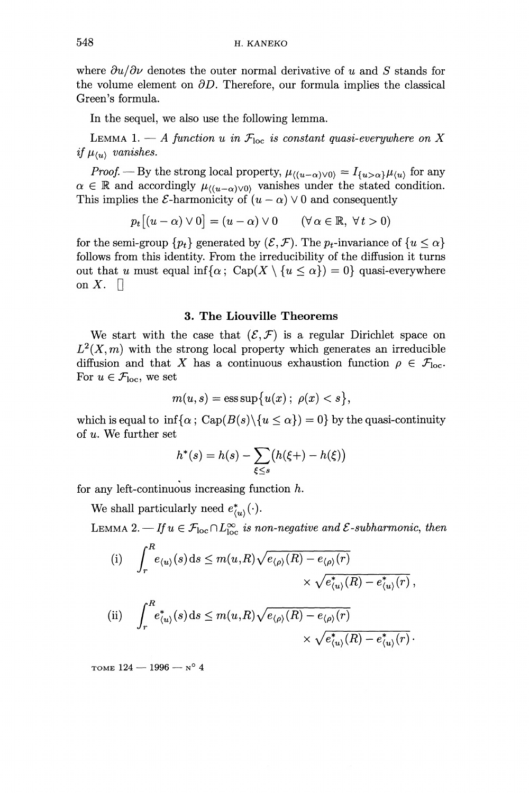where  $\partial u/\partial \nu$  denotes the outer normal derivative of u and S stands for the volume element on  $\partial D$ . Therefore, our formula implies the classical Green's formula.

In the sequel, we also use the following lemma.

LEMMA 1.  $-A$  function u in  $\mathcal{F}_{loc}$  is constant quasi-everywhere on X *if*  $\mu_{\langle u \rangle}$  vanishes.

*Proof.* — By the strong local property,  $\mu_{\langle (u-\alpha)\vee 0 \rangle} = I_{\{u>\alpha\}}\mu_{\langle u \rangle}$  for any  $\alpha \in \mathbb{R}$  and accordingly  $\mu_{((u-\alpha)\vee 0)}$  vanishes under the stated condition. This implies the *E*-harmonicity of  $(u - \alpha) \vee 0$  and consequently

$$
p_t[(u-\alpha)\vee 0] = (u-\alpha)\vee 0 \qquad (\forall \alpha \in \mathbb{R}, \ \forall t > 0)
$$

for the semi-group  $\{p_t\}$  generated by  $(\mathcal{E}, \mathcal{F})$ . The  $p_t$ -invariance of  $\{u \leq \alpha\}$ follows from this identity. From the irreducibility of the diffusion it turns out that *u* must equal inf{ $\alpha$ ; Cap( $X \setminus \{u \leq \alpha\}$ ) = 0} quasi-everywhere on  $X$ .  $\Box$ 

#### **3. The Liouville Theorems**

We start with the case that  $(\mathcal{E}, \mathcal{F})$  is a regular Dirichlet space on  $L^2(X,m)$  with the strong local property which generates an irreducible diffusion and that X has a continuous exhaustion function  $\rho \in \mathcal{F}_{loc}$ . For  $u \in \mathcal{F}_{loc}$ , we set

$$
m(u,s) = \operatorname{ess\,sup} \{ u(x) \, ; \ \rho(x) < s \},
$$

which is equal to  $\inf{\alpha$ ;  $\text{Cap}(B(s)\setminus{u \leq \alpha})=0}$  by the quasi-continuity of *u.* We further set

$$
h^*(s) = h(s) - \sum_{\xi \le s} (h(\xi +) - h(\xi))
$$

for any left-continuous increasing function *h.*

We shall particularly need  $e_{\langle u \rangle}^*(\cdot)$ .

LEMMA 2.  $\Box$  *If*  $u \in \mathcal{F}_{loc} \cap L^{\infty}_{loc}$  is non-negative and  $\mathcal{E}$ -subharmonic, then

(i) 
$$
\int_{r}^{R} e_{\langle u \rangle}(s) ds \leq m(u, R) \sqrt{e_{\langle \rho \rangle}(R) - e_{\langle \rho \rangle}(r)} \times \sqrt{e_{\langle u \rangle}^{*}(R) - e_{\langle u \rangle}^{*}(r)},
$$
  
\n(ii) 
$$
\int_{r}^{R} e_{\langle u \rangle}^{*}(s) ds \leq m(u, R) \sqrt{e_{\langle \rho \rangle}(R) - e_{\langle \rho \rangle}(r)} \times \sqrt{e_{\langle u \rangle}^{*}(R) - e_{\langle u \rangle}^{*}(r)}.
$$

TOME **124 — 1996** — N° 4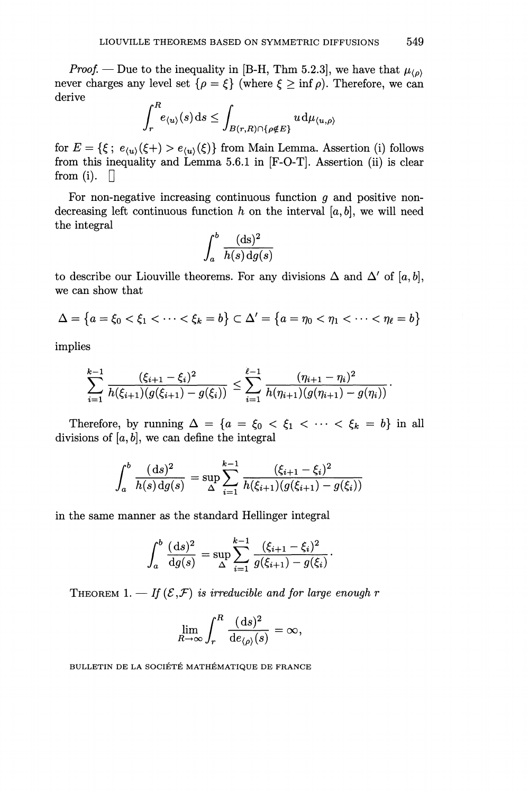*Proof.* — Due to the inequality in [B-H, Thm 5.2.3], we have that  $\mu_{\langle \rho \rangle}$ never charges any level set  $\{\rho = \xi\}$  (where  $\xi \ge \inf \rho$ ). Therefore, we can derive

$$
\int_r^R e_{\langle u \rangle}(s) \, ds \le \int_{B(r,R) \cap \{\rho \notin E\}} u \, d\mu_{\langle u, \rho \rangle}
$$

for  $E = \{\xi : e_{\langle u \rangle}(\xi+) > e_{\langle u \rangle}(\xi)\}\$  from Main Lemma. Assertion (i) follows from this inequality and Lemma 5.6.1 in [F-O-T]. Assertion (ii) is clear from (i).  $\Box$ 

For non-negative increasing continuous function *g* and positive nondecreasing left continuous function  $h$  on the interval  $[a, b]$ , we will need the integral

$$
\int_a^b \frac{(\mathrm{ds})^2}{h(s) \, \mathrm{d}g(s)}
$$

to describe our Liouville theorems. For any divisions  $\Delta$  and  $\Delta'$  of [a, b], we can show that

$$
\Delta = \{a = \xi_0 < \xi_1 < \cdots < \xi_k = b\} \subset \Delta' = \{a = \eta_0 < \eta_1 < \cdots < \eta_\ell = b\}
$$

implies

$$
\sum_{i=1}^{k-1} \frac{(\xi_{i+1}-\xi_i)^2}{h(\xi_{i+1})(g(\xi_{i+1})-g(\xi_i))} \leq \sum_{i=1}^{\ell-1} \frac{(\eta_{i+1}-\eta_i)^2}{h(\eta_{i+1})(g(\eta_{i+1})-g(\eta_i))}.
$$

Therefore, by running  $\Delta = \{a = \xi_0 < \xi_1 < \cdots < \xi_k = b\}$  in all divisions of  $[a, b]$ , we can define the integral

$$
\int_{a}^{b} \frac{(ds)^{2}}{h(s) dg(s)} = \sup_{\Delta} \sum_{i=1}^{k-1} \frac{(\xi_{i+1} - \xi_{i})^{2}}{h(\xi_{i+1})(g(\xi_{i+1}) - g(\xi_{i}))}
$$

in the same manner as the standard Hellinger integral

$$
\int_a^b \frac{(\mathrm{d}s)^2}{\mathrm{d}g(s)} = \sup_{\Delta} \sum_{i=1}^{k-1} \frac{(\xi_{i+1} - \xi_i)^2}{g(\xi_{i+1}) - g(\xi_i)}.
$$

THEOREM 1.  $\rightarrow$  *If* ( $\mathcal{E}, \mathcal{F}$ ) is irreducible and for large enough r

$$
\lim_{R \to \infty} \int_r^R \frac{(\mathrm{d}s)^2}{\mathrm{d}e_{\langle \rho \rangle}(s)} = \infty,
$$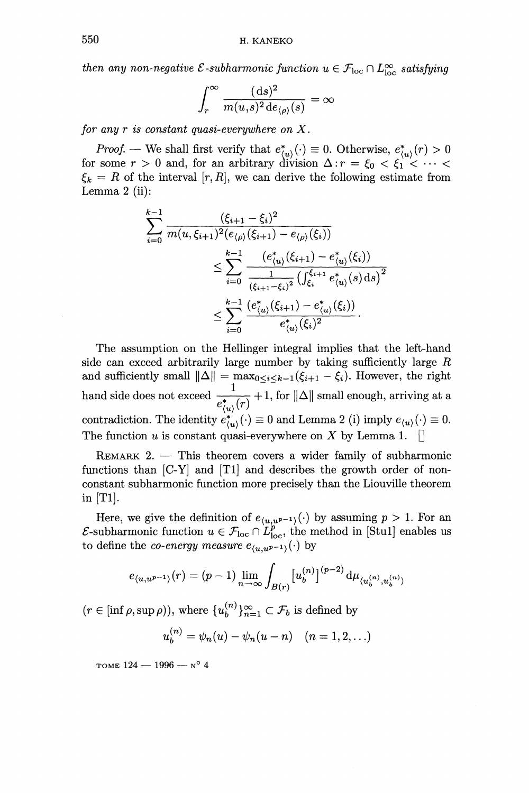*then any non-negative E-subharmonic function*  $u \in \mathcal{F}_{\text{loc}} \cap L^{\infty}_{\text{loc}}$  satisfying

$$
\mathcal{E}\text{-subharmonic function } u \in
$$
\n
$$
\int_{r}^{\infty} \frac{(\mathrm{d}s)^{2}}{m(u,s)^{2} \mathrm{d}e_{\langle \rho \rangle}(s)} = \infty
$$

*for any r is constant quasi-everywhere on X.*

*Proof.* — We shall first verify that  $e_{\ell m}^*(\cdot) \equiv 0$ . Otherwise,  $e_{\ell m}^*(r) > 0$ for some  $r > 0$  and, for an arbitrary division  $\Delta : r = \xi_0 < \xi_1^{\alpha/2} \cdots$  $\xi_k = R$  of the interval  $[r,R]$ , we can derive the following estimate from Lemma 2 (ii):

$$
\sum_{i=0}^{k-1} \frac{(\xi_{i+1} - \xi_i)^2}{m(u, \xi_{i+1})^2 (e_{\langle \rho \rangle}(\xi_{i+1}) - e_{\langle \rho \rangle}(\xi_i))} \\ \leq \sum_{i=0}^{k-1} \frac{(e_{\langle u \rangle}^*(\xi_{i+1}) - e_{\langle u \rangle}^*(\xi_i))}{\frac{1}{(\xi_{i+1} - \xi_i)^2} \left(\int_{\xi_i}^{\xi_{i+1}} e_{\langle u \rangle}^*(s) \, ds\right)^2} \\ \leq \sum_{i=0}^{k-1} \frac{(e_{\langle u \rangle}^*(\xi_{i+1}) - e_{\langle u \rangle}^*(\xi_i))}{e_{\langle u \rangle}^*(\xi_i)^2}.
$$

The assumption on the Hellinger integral implies that the left-hand side can exceed arbitrarily large number by taking sufficiently large *R* and sufficiently small  $\|\Delta\| = \max_{0 \leq i \leq k-1} (\xi_{i+1} - \xi_i)$ . However, the right hand side does not exceed  $\frac{1}{e_{\langle u \rangle}^*(r)} + 1$ , for  $\|\Delta\|$  small enough, arriving at a contradiction. The identity  $e_{\langle u \rangle}^*(\cdot) \equiv 0$  and Lemma 2 (i) imply  $e_{\langle u \rangle}(\cdot) \equiv 0$ . The function *u* is constant quasi-everywhere on X by Lemma 1.  $\Box$ 

REMARK 2. — This theorem covers a wider family of subharmonic functions than  $[C-Y]$  and  $[T1]$  and describes the growth order of nonconstant subharmonic function more precisely than the Liouville theorem in [Tl].

Here, we give the definition of  $e_{\langle u, u^{p-1}\rangle}(\cdot)$  by assuming  $p > 1$ . For an *E*-subharmonic function  $u \in \mathcal{F}_{loc} \cap L_{loc}^p$ , the method in [Stu1] enables us to define the *co-energy measure*  $e_{\langle u, u^{p-1}\rangle}(\cdot)$  by

$$
e_{\langle u, u^{p-1}\rangle}(r) = (p-1) \lim_{n \to \infty} \int_{B(r)} [u_b^{(n)}]^{(p-2)} d\mu_{\langle u_b^{(n)}, u_b^{(n)}\rangle}
$$

 $(r \in \left[\inf \rho, \sup \rho)\right)$ , where  $\{u_b^{(n)}\}_{n=1}^{\infty} \subset \mathcal{F}_b$  is defined by

$$
u_b^{(n)} = \psi_n(u) - \psi_n(u - n) \quad (n = 1, 2, ...)
$$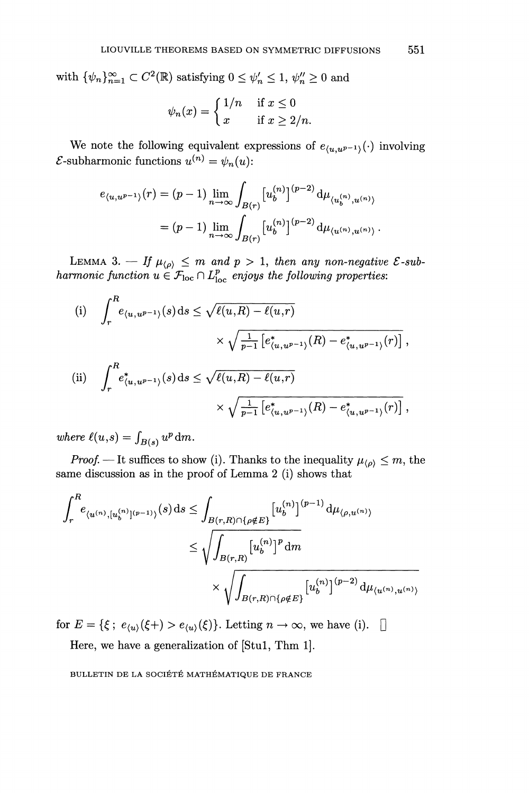with  $\{\psi_n\}_{n=1}^{\infty} \subset C^2(\mathbb{R})$  satisfying  $0 \le \psi_n \le 1, \psi_n \ge 0$  and

$$
\psi_n(x) = \begin{cases} 1/n & \text{if } x \le 0 \\ x & \text{if } x \ge 2/n. \end{cases}
$$

We note the following equivalent expressions of  $e_{(u,u^{p-1})}(\cdot)$  involving *f*-subharmonic functions  $u^{(n)} = \psi_n(u)$ :<br>  $e_{\langle u, u^{p-1}\rangle}(r) = (p - 1) \lim_{n \to \infty} \int_{P(x)} [u_b^{(n)}]^{(p-2)} d\mu_{\langle u_b^{(n)}, u^{(n)}\rangle}$ 

$$
e_{\langle u, u^{p-1} \rangle}(r) = (p-1) \lim_{n \to \infty} \int_{B(r)} \left[ u_b^{(n)} \right]^{(p-2)} \mathrm{d} \mu_{\langle u_b^{(n)}, u^{(n)} \rangle}
$$

$$
= (p-1) \lim_{n \to \infty} \int_{B(r)} \left[ u_b^{(n)} \right]^{(p-2)} \mathrm{d} \mu_{\langle u^{(n)}, u^{(n)} \rangle}.
$$

LEMMA 3.  $-$  If  $\mu_{\langle \rho \rangle} \leq m$  and  $p > 1$ , then any non-negative  $\mathcal{E}$ -sub*harmonic function*  $u \in \mathcal{F}_{\text{loc}} \cap L^p_{\text{loc}}$  *enjoys the following properties:* 

(i) 
$$
\int_{r}^{R} e_{\langle u, u^{p-1} \rangle}(s) ds \le \sqrt{\ell(u, R) - \ell(u, r)}
$$

$$
\times \sqrt{\frac{1}{p-1} \left[ e_{\langle u, u^{p-1} \rangle}^{*}(R) - e_{\langle u, u^{p-1} \rangle}^{*}(r) \right]},
$$
  
(ii) 
$$
\int_{r}^{R} e_{\langle u, u^{p-1} \rangle}^{*}(s) ds \le \sqrt{\ell(u, R) - \ell(u, r)}
$$

$$
\times \sqrt{\frac{1}{p-1} \left[ e_{\langle u, u^{p-1} \rangle}^{*}(R) - e_{\langle u, u^{p-1} \rangle}^{*}(r) \right]},
$$

where  $\ell(u,s) = \int_{B(s)} u^p \, dm$ .

*Proof.* — It suffices to show (i). Thanks to the inequality  $\mu_{\langle \rho \rangle} \leq m$ , the same discussion as in the proof of Lemma 2 (i) shows that

$$
\int_{r}^{R} e_{\langle u^{(n)}, [u_b^{(n)}]^{(p-1)}\rangle}(s) ds \leq \int_{B(r,R)\cap\{\rho \notin E\}} [u_b^{(n)}]^{(p-1)} d\mu_{\langle \rho, u^{(n)}\rangle} \leq \sqrt{\int_{B(r,R)} [u_b^{(n)}]^{p} dm} \times \sqrt{\int_{B(r,R)\cap\{\rho \notin E\}} [u_b^{(n)}]^{(p-2)} d\mu_{\langle u^{(n)}, u^{(n)}\rangle}}
$$

for  $E = \{\xi : e_{\langle u \rangle}(\xi +) > e_{\langle u \rangle}(\xi)\}.$  Letting  $n \to \infty$ , we have (i).  $\Box$ 

Here, we have a generalization of [Stu1, Thm 1].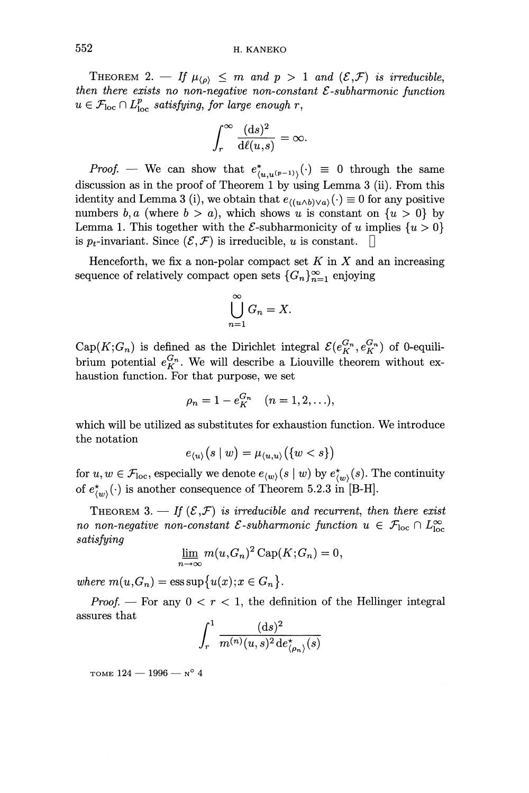# 552 H. KANEKO

THEOREM 2.  $-$  If  $\mu_{(o)} \leq m$  and  $p > 1$  and  $(\mathcal{E}, \mathcal{F})$  is irreducible, *then there exists no non-negative non-constant E-subharmonic function*  $u \in \mathcal{F}_{loc} \cap L^p_{loc}$  *satisfying, for large enough* r,

$$
\int_r^{\infty} \frac{(\mathrm{d}s)^2}{\mathrm{d}\ell(u,s)} = \infty.
$$

*Proof.* — We can show that  $e^*_{(u,u^{(p-1)})}(\cdot) \equiv 0$  through the same discussion as in the proof of Theorem 1 by using Lemma 3 (ii). From this discussion as in the proof of Theorem T by using Lemma 3 (i). From this identity and Lemma 3 (i), we obtain that  $e_{\langle (u \wedge b) \vee a \rangle}(\cdot) \equiv 0$  for any positive numbers  $b, a$  (where  $b > a$ ), which shows u is constant on  $\{u > 0\}$  by Lemma 1. This together with the *E*-subharmonicity of *u* implies  $\{u > 0\}$ is  $p_t$ -invariant. Since  $(\mathcal{E}, \mathcal{F})$  is irreducible, *u* is constant.  $\Box$ 

Henceforth, we fix a non-polar compact set *K* in *X* and an increasing sequence of relatively compact open sets  $\{G_n\}_{n=1}^{\infty}$  enjoying

$$
\bigcup_{n=1}^{\infty} G_n = X.
$$

 $Cap(K;G_n)$  is defined as the Dirichlet integral  $\mathcal{E}(e^{G_n}_K, e^{G_n}_K)$  of 0-equilibrium potential  $e^{G_n}_K$ . We will describe a Liouville theorem without exhaustion function. For that purpose, we set

$$
\rho_n = 1 - e_K^{G_n} \quad (n = 1, 2, \ldots),
$$

which will be utilized as substitutes for exhaustion function. We introduce the notation

$$
e_{\langle u \rangle}(s \mid w) = \mu_{\langle u, u \rangle}(\{w < s\})
$$

for  $u, w \in \mathcal{F}_{loc}$ , especially we denote  $e_{\langle w \rangle}(s \mid w)$  by  $e^{\star}_{\langle w \rangle}(s)$ . The continuity of  $e^{\star}_{(w)}(\cdot)$  is another consequence of Theorem 5.2.3 in [B-H].

THEOREM 3.  $\overline{f}$  *If* ( $\mathcal{E}, \mathcal{F}$ ) is irreducible and recurrent, then there exist *no non-negative non-constant*  $\mathcal{E}$ *-subharmonic function*  $u \in \mathcal{F}_{loc} \cap L^{\infty}_{loc}$ *satisfying*

$$
\underline{\lim}_{n \to \infty} m(u, G_n)^2 \operatorname{Cap}(K; G_n) = 0,
$$

*where*  $m(u, G_n) = \operatorname{ess} \sup \{u(x); x \in G_n\}.$ 

*Proof.* — For any  $0 < r < 1$ , the definition of the Hellinger integral assures that

$$
\int_r^1 \frac{(\mathrm{d} s)^2}{m^{(n)}(u,s)^2 \mathrm{d} e^\star_{\langle \rho_n \rangle}(s)}
$$

TOME 124 — **1996** — N° 4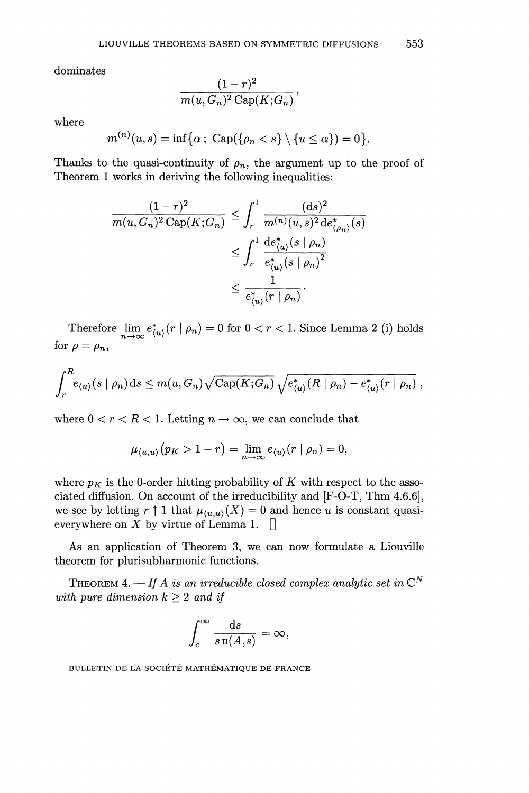dominates

$$
\frac{(1-r)^2}{m(u, G_n)^2 \operatorname{Cap}(K; G_n)}
$$

where

$$
m^{(n)}(u,s) = \inf \{ \alpha \, ; \, \operatorname{Cap}(\{\rho_n < s\} \setminus \{u \leq \alpha\}) = 0 \}.
$$

Thanks to the quasi-continuity of  $\rho_n$ , the argument up to the proof of Theorem 1 works in deriving the following inequalities:

$$
\frac{(1-r)^2}{m(u, G_n)^2 \operatorname{Cap}(K; G_n)} \leq \int_r^1 \frac{(ds)^2}{m^{(n)}(u, s)^2 \det_{\langle \rho_n \rangle}(s)}
$$

$$
\leq \int_r^1 \frac{\det_{\langle u \rangle}^*(s \mid \rho_n)}{e_{\langle u \rangle}^*(s \mid \rho_n)^2}
$$

$$
\leq \frac{1}{e_{\langle u \rangle}^*(r \mid \rho_n)}.
$$

Therefore  $\lim_{n \to \infty} e^*_{\langle u \rangle}(r | \rho_n) = 0$  for  $0 < r < 1$ . Since Lemma 2 (i) holds for  $\rho = \rho_n$ ,

$$
\int_r^R e_{\langle u \rangle}(s \mid \rho_n) ds \leq m(u, G_n) \sqrt{\text{Cap}(K; G_n)} \sqrt{e_{\langle u \rangle}^*(R \mid \rho_n) - e_{\langle u \rangle}^*(r \mid \rho_n)},
$$

where  $0 < r < R < 1$ . Letting  $n \to \infty$ , we can conclude that

$$
\mu_{\langle u,u\rangle}(p_K>1-r)=\lim_{n\to\infty}e_{\langle u\rangle}(r\mid\rho_n)=0,
$$

where  $p_K$  is the 0-order hitting probability of K with respect to the associated diffusion. On account of the irreducibility and [F-O-T, Thm 4.6.6], we see by letting  $r \uparrow 1$  that  $\mu_{\langle u,u \rangle}(X) = 0$  and hence *u* is constant quasieverywhere on X by virtue of Lemma 1.  $\Box$ 

As an application of Theorem 3, we can now formulate a Liouville theorem for plurisubharmonic functions.

THEOREM 4. — If A is an irreducible closed complex analytic set in  $\mathbb{C}^N$ *with pure dimension*  $k \geq 2$  *and if* 

$$
\int_c^{\infty} \frac{\mathrm{d}s}{s \operatorname{n}(A,s)} = \infty,
$$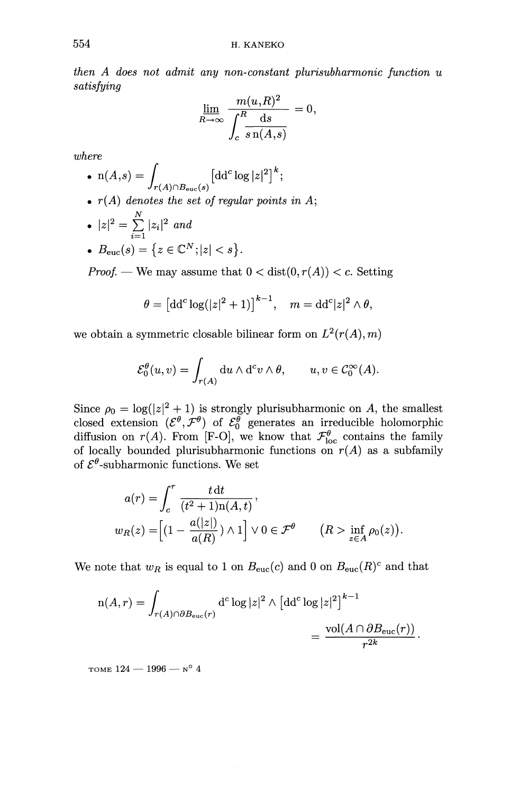*then A does not admit any non-constant plurisubharmonic function u satisfying*

$$
\lim_{R \to \infty} \frac{m(u,R)^2}{\int_c^R \frac{ds}{s n(A,s)}} = 0,
$$

*'where*

• 
$$
n(A,s) = \int_{r(A) \cap B_{euc}(s)} \left[ dd^c \log |z|^2 \right]^k;
$$

• r(A) *denotes the set of regular points in* A;

\n- $$
|z|^2 = \sum_{i=1}^{N} |z_i|^2
$$
 and
\n- $B_{\text{euc}}(s) = \{z \in \mathbb{C}^N; |z| < s\}.$
\n

*Proof.* — We may assume that  $0 < \text{dist}(0, r(A)) < c$ . Setting

$$
\theta = \left[ \mathrm{dd}^c \log(|z|^2 + 1) \right]^{k-1}, \quad m = \mathrm{dd}^c |z|^2 \wedge \theta,
$$

we obtain a symmetric closable bilinear form on  $L^2(r(A), m)$ 

$$
\mathcal{E}^{\theta}_0(u,v) = \int_{r(A)} \mathrm{d}u \wedge \mathrm{d}^c v \wedge \theta, \qquad u, v \in \mathcal{C}^{\infty}_0(A).
$$

Since  $\rho_0 = \log(|z|^2 + 1)$  is strongly plurisubharmonic on A, the smallest closed extension  $(\mathcal{E}^{\theta}, \mathcal{F}^{\theta})$  of  $\mathcal{E}^{\theta}_{0}$  generates an irreducible holomorphic diffusion on  $r(A)$ . From [F-O], we know that  $\mathcal{F}^{\theta}_{loc}$  contains the family of locally bounded plurisubharmonic functions on  $r(A)$  as a subfamily of  $\mathcal{E}^{\theta}$ -subharmonic functions. We set

$$
a(r) = \int_c^r \frac{t \, \mathrm{d}t}{(t^2 + 1) \mathfrak{n}(A, t)},
$$
  

$$
w_R(z) = \left[ \left( 1 - \frac{a(|z|)}{a(R)} \right) \wedge 1 \right] \vee 0 \in \mathcal{F}^\theta \qquad (R > \inf_{z \in A} \rho_0(z)).
$$

We note that  $w_R$  is equal to 1 on  $B_{\text{euc}}(c)$  and 0 on  $B_{\text{euc}}(R)^c$  and that

$$
n(A,r) = \int_{r(A)\cap\partial B_{euc}(r)} d^c \log |z|^2 \wedge [dd^c \log |z|^2]^{k-1}
$$
  
= 
$$
\frac{\text{vol}(A\cap \partial B_{euc}(r))}{r^{2k}}.
$$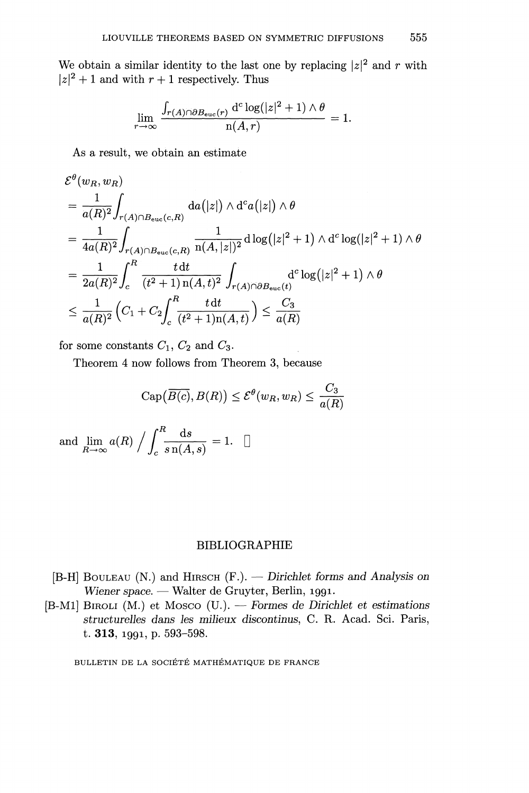We obtain a similar identity to the last one by replacing  $|z|^2$  and  $r$  with  $|z|^2 + 1$  and with  $r + 1$  respectively. Thus

$$
\lim_{r \to \infty} \frac{\int_{r(A) \cap \partial B_{\text{euc}}(r)} d^c \log(|z|^2 + 1) \wedge \theta}{n(A, r)} = 1.
$$

As a result, we obtain an estimate

$$
\mathcal{E}^{\theta}(w_R, w_R)
$$
\n
$$
= \frac{1}{a(R)^2} \int_{r(A) \cap B_{euc}(c,R)} da(|z|) \wedge d^c a(|z|) \wedge \theta
$$
\n
$$
= \frac{1}{4a(R)^2} \int_{r(A) \cap B_{euc}(c,R)} \frac{1}{n(A,|z|)^2} d \log(|z|^2 + 1) \wedge d^c \log(|z|^2 + 1) \wedge \theta
$$
\n
$$
= \frac{1}{2a(R)^2} \int_c^R \frac{t dt}{(t^2 + 1) n(A, t)^2} \int_{r(A) \cap \partial B_{euc}(t)} d^c \log(|z|^2 + 1) \wedge \theta
$$
\n
$$
\leq \frac{1}{a(R)^2} \left( C_1 + C_2 \int_c^R \frac{t dt}{(t^2 + 1) n(A, t)} \right) \leq \frac{C_3}{a(R)}
$$

for some constants  $C_1$ ,  $C_2$  and  $C_3$ .

Theorem 4 now follows from Theorem **3,** because

$$
\mathrm{Cap}(\overline{B(c)},B(R))\leq \mathcal{E}^{\theta}(w_R,w_R)\leq \frac{C_3}{a(R)}
$$

and 
$$
\lim_{R \to \infty} a(R) / \int_{c}^{R} \frac{ds}{s n(A, s)} = 1.
$$

## BIBLIOGRAPHIE

- [B-H] BOULEAU (N.) and HIRSCH (F.). — *Dirichlet forms and Analysis on* Wiener *space. —* Walter de Gruyter, Berlin, 1991.
- [B-M1] BIROLI (M.) et Mosco (U.). — *Formes de Dirichlet et estimations structurelles dans les milieux discontinus, C.* R. Acad. Sci. Paris, t. **313,** 1991, p. 593-598.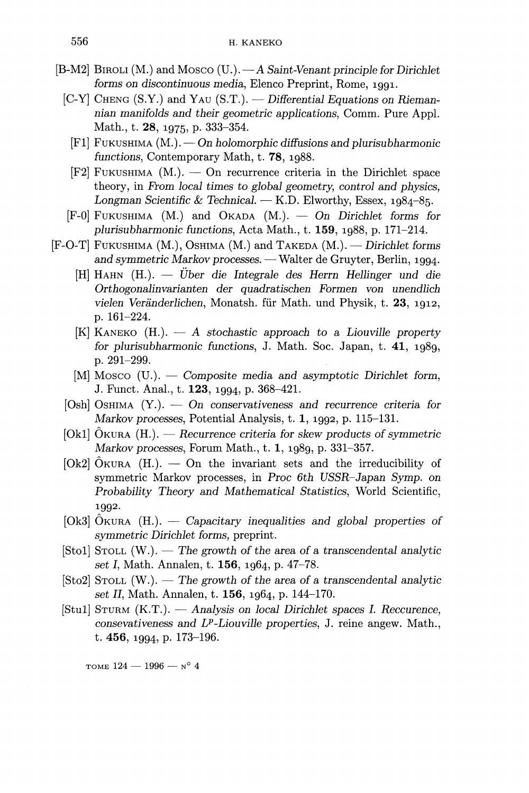- [B-M2] BIROLI (M.) and Mosco (U.). —A *Saint-Venant principle for Dirichlet forms on discontinuous media,* Elenco Preprint, Rome, 1991.
	- [C-Y] CHENG (S.Y.) and YAU (S.T.). — *Differential Equations on Riemannian manifolds and their geometric applications,* Comm. Pure Appl. Math., t. 28, 1975, p. 333-354.
		- [Fl] FUKUSHIMA (M.). — *On holomorphic diffusions and plurisubharmonic functions,* Contemporary Math, t. 78, 1988.
		- [F2] FUKUSHIMA (M.). On recurrence criteria in the Dirichlet space theory, in *From local times to global geometry, control and physics, Longman Scientific & Technical. —* K.D. Elworthy, Essex, 1984-85.
	- [F-0] FUKUSHIMA (M.) and OKADA (M.). — *On Dirichlet forms for plurisubharmonic functions,* Ada Math., t. **159,** 1988, p. 171-214.
- [F-O-T] FUKUSHIMA (M.), OSHIMA (M.) and TAKEDA (M.). — *Dirichlet forms and symmetric Markov processes. —*Walter de Gruyter, Berlin, 1994.
	- [H] HAHN (H.). — *Uber die Integrate des Herrn Hellinger und die Orthogonalinvarianten der quadratischen Formen von unendlich vielen Veranderlichen,* Monatsh. fur Math. und Physik, t. **23,** 1912, p. 161-224.
	- [K] KANEKO (H.). A *stochastic approach to a Liouville property for plurisubharmonic functions,* J. Math. Soc. Japan, t. **41,** 1989, p. 291-299.
	- [M] Mosco (U.). — *Composite media and asymptotic Dirichlet form,* J. Fund. Anal., t. **123,** 1994, p. 368-421.
	- [Osh] OSHIMA (Y.). — *On conservativeness and recurrence criteria for Markov processes,* Potential Analysis, t. **1,** 1992, p. 115-131.
	- [Okl] OKURA (H.). — *Recurrence criteria for skew products of symmetric Markov processes,* Forum Math., t. **1,** 1989, p. 331-357.
	- $[Ok2]$  Okura  $(H.)$ .  $\longrightarrow$  On the invariant sets and the irreducibility of symmetric Markov processes, in *Proc 6th USSR-Japan Symp. on Probability Theory and Mathematical Statistics,* World Scientific, 1992.
	- [Ok3] OKURA (H.). — *Capacitary inequalities and global properties of symmetric Dirichlet forms,* preprint.
	- [Stol] STOLE (W.). — *The growth of the area of a transcendental analytic set I,* Math. Annalen, t. **156,** 1964, p. 47-78.
	- [Sto2] STOLE (W.). — *The growth of the area of a transcendental analytic set II,* Math. Annalen, t. **156,** 1964, p. 144-170.
	- [Stui] STURM (K.T.). — *Analysis on local Dirichlet spaces I. Reccurence, consevativeness and L<sup>13</sup>'-Liouville properties,* J. reine angew. Math., **t. 456,** 1994, p. 173-196.